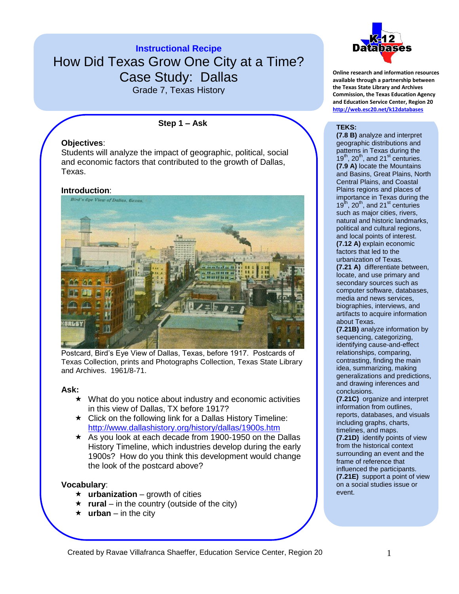

Grade 7, Texas History

**Step 1 – Ask**

## **Objectives**:

Students will analyze the impact of geographic, political, social and economic factors that contributed to the growth of Dallas, Texas.

#### **Introduction**:



Postcard, Bird's Eye View of Dallas, Texas, before 1917. Postcards of Texas Collection, prints and Photographs Collection, Texas State Library and Archives. 1961/8-71.

#### **Ask:**

- $\star$  What do you notice about industry and economic activities in this view of Dallas, TX before 1917?
- $\star$  Click on the following link for a Dallas History Timeline: <http://www.dallashistory.org/history/dallas/1900s.htm>
- $\star$  As you look at each decade from 1900-1950 on the Dallas History Timeline, which industries develop during the early 1900s? How do you think this development would change the look of the postcard above?

#### **Vocabulary**:

- **urbanization** growth of cities
- $\star$  **rural** in the country (outside of the city)
- $\star$  **urban** in the city



**Online research and information resources available through a partnership between the Texas State Library and Archives Commission, the Texas Education Agency and Education Service Center, Region 20 <http://web.esc20.net/k12databases>**

#### **TEKS:**

**(7.8 B)** analyze and interpret geographic distributions and patterns in Texas during the  $19<sup>th</sup>$ , 20<sup>th</sup>, and 21<sup>st</sup> centuries. **(7.9 A)** locate the Mountains and Basins, Great Plains, North Central Plains, and Coastal Plains regions and places of importance in Texas during the  $19<sup>th</sup>$ , 20<sup>th</sup>, and 21<sup>st</sup> centuries such as major cities, rivers, natural and historic landmarks, political and cultural regions, and local points of interest. **(7.12 A)** explain economic factors that led to the urbanization of Texas. **(7.21 A)** differentiate between, locate, and use primary and secondary sources such as computer software, databases, media and news services, biographies, interviews, and artifacts to acquire information about Texas.

**(7.21B)** analyze information by sequencing, categorizing, identifying cause-and-effect relationships, comparing, contrasting, finding the main idea, summarizing, making generalizations and predictions, and drawing inferences and conclusions.

**(7.21C)** organize and interpret information from outlines, reports, databases, and visuals including graphs, charts, timelines, and maps.

**(7.21D)** identify points of view from the historical context surrounding an event and the frame of reference that influenced the participants. **(7.21E)** support a point of view on a social studies issue or event.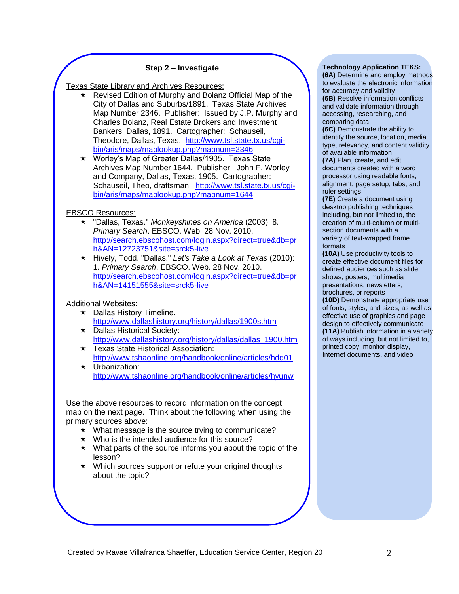### **Step 2 – Investigate**

Texas State Library and Archives Resources:

- Revised Edition of Murphy and Bolanz Official Map of the City of Dallas and Suburbs/1891. Texas State Archives Map Number 2346. Publisher: Issued by J.P. Murphy and Charles Bolanz, Real Estate Brokers and Investment Bankers, Dallas, 1891. Cartographer: Schauseil, Theodore, Dallas, Texas. [http://www.tsl.state.tx.us/cgi](http://www.tsl.state.tx.us/cgi-bin/aris/maps/maplookup.php?mapnum=2346)[bin/aris/maps/maplookup.php?mapnum=2346](http://www.tsl.state.tx.us/cgi-bin/aris/maps/maplookup.php?mapnum=2346)
- Worley's Map of Greater Dallas/1905. Texas State Archives Map Number 1644. Publisher: John F. Worley and Company, Dallas, Texas, 1905. Cartographer: Schauseil, Theo, draftsman. [http://www.tsl.state.tx.us/cgi](http://www.tsl.state.tx.us/cgi-bin/aris/maps/maplookup.php?mapnum=1644)[bin/aris/maps/maplookup.php?mapnum=1644](http://www.tsl.state.tx.us/cgi-bin/aris/maps/maplookup.php?mapnum=1644)

### EBSCO Resources:

- "Dallas, Texas." *Monkeyshines on America* (2003): 8. *Primary Search*. EBSCO. Web. 28 Nov. 2010. [http://search.ebscohost.com/login.aspx?direct=true&db=pr](http://search.ebscohost.com/login.aspx?direct=true&db=prh&AN=12723751&site=srck5-live) [h&AN=12723751&site=srck5-live](http://search.ebscohost.com/login.aspx?direct=true&db=prh&AN=12723751&site=srck5-live)
- Hively, Todd. "Dallas." *Let's Take a Look at Texas* (2010): 1. *Primary Search*. EBSCO. Web. 28 Nov. 2010. [http://search.ebscohost.com/login.aspx?direct=true&db=pr](http://search.ebscohost.com/login.aspx?direct=true&db=prh&AN=14151555&site=srck5-live) [h&AN=14151555&site=srck5-live](http://search.ebscohost.com/login.aspx?direct=true&db=prh&AN=14151555&site=srck5-live)

#### Additional Websites:

- $\star$  Dallas History Timeline. <http://www.dallashistory.org/history/dallas/1900s.htm>
- **★ Dallas Historical Society:** [http://www.dallashistory.org/history/dallas/dallas\\_1900.htm](http://www.dallashistory.org/history/dallas/dallas_1900.htm)
- **★ Texas State Historical Association:** <http://www.tshaonline.org/handbook/online/articles/hdd01>
- **★** Urbanization: <http://www.tshaonline.org/handbook/online/articles/hyunw>

Use the above resources to record information on the concept map on the next page. Think about the following when using the primary sources above:

- $\star$  What message is the source trying to communicate?
- $\star$  Who is the intended audience for this source?
- $\star$  What parts of the source informs you about the topic of the lesson?
- ★ Which sources support or refute your original thoughts about the topic?

#### **Technology Application TEKS:**

**(6A)** Determine and employ methods to evaluate the electronic information for accuracy and validity **(6B)** Resolve information conflicts

and validate information through accessing, researching, and comparing data

**(6C)** Demonstrate the ability to identify the source, location, media type, relevancy, and content validity of available information

**(7A)** Plan, create, and edit documents created with a word processor using readable fonts, alignment, page setup, tabs, and ruler settings

**(7E)** Create a document using desktop publishing techniques including, but not limited to, the creation of multi-column or multisection documents with a variety of text-wrapped frame formats

**(10A)** Use productivity tools to create effective document files for defined audiences such as slide shows, posters, multimedia presentations, newsletters, brochures, or reports

**(10D)** Demonstrate appropriate use of fonts, styles, and sizes, as well as effective use of graphics and page design to effectively communicate **(11A)** Publish information in a variety of ways including, but not limited to, printed copy, monitor display, Internet documents, and video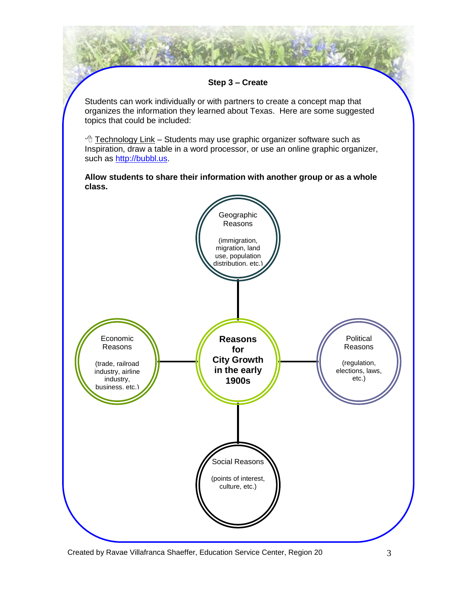

Created by Ravae Villafranca Shaeffer, Education Service Center, Region 20 3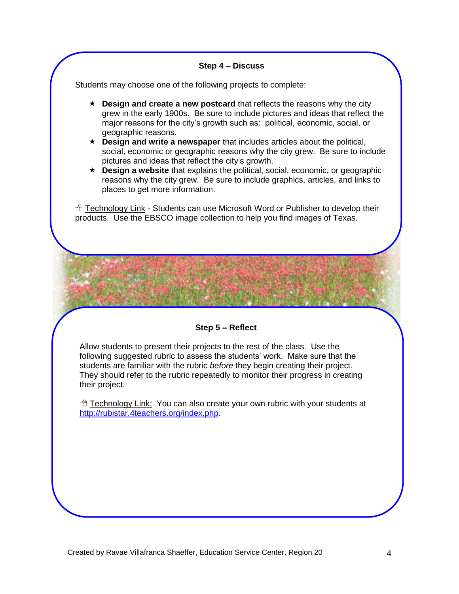### **Step 4 – Discuss**

Students may choose one of the following projects to complete:

- **EXECT** Design and create a new postcard that reflects the reasons why the city grew in the early 1900s. Be sure to include pictures and ideas that reflect the major reasons for the city's growth such as: political, economic, social, or geographic reasons.
- **Design and write a newspaper** that includes articles about the political, social, economic or geographic reasons why the city grew. Be sure to include pictures and ideas that reflect the city's growth.
- **Design a website** that explains the political, social, economic, or geographic reasons why the city grew. Be sure to include graphics, articles, and links to places to get more information.

 $\sqrt{\overline{C}}$  Technology Link - Students can use Microsoft Word or Publisher to develop their products. Use the EBSCO image collection to help you find images of Texas.

#### **Step 5 – Reflect**

Allow students to present their projects to the rest of the class. Use the following suggested rubric to assess the students' work. Make sure that the students are familiar with the rubric *before* they begin creating their project. They should refer to the rubric repeatedly to monitor their progress in creating their project.

 Technology Link: You can also create your own rubric with your students at [http://rubistar.4teachers.org/index.php.](http://rubistar.4teachers.org/index.php)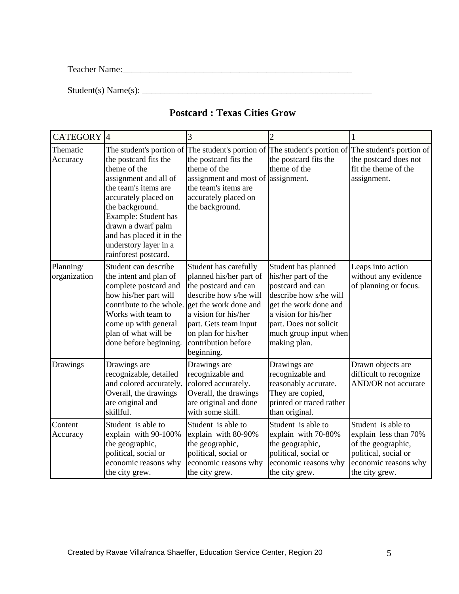Teacher Name:\_\_\_\_\_\_\_\_\_\_\_\_\_\_\_\_\_\_\_\_\_\_\_\_\_\_\_\_\_\_\_\_\_\_\_\_\_\_\_\_\_\_\_\_\_\_\_\_\_\_\_

 $Student(s) Name(s):$ 

# **Postcard : Texas Cities Grow**

| CATEGORY <sup>4</sup>     |                                                                                                                                                                                                                                                                                          | 3                                                                                                                                                                                                                                        | $\overline{2}$                                                                                                                                                                                               |                                                                                                                                     |
|---------------------------|------------------------------------------------------------------------------------------------------------------------------------------------------------------------------------------------------------------------------------------------------------------------------------------|------------------------------------------------------------------------------------------------------------------------------------------------------------------------------------------------------------------------------------------|--------------------------------------------------------------------------------------------------------------------------------------------------------------------------------------------------------------|-------------------------------------------------------------------------------------------------------------------------------------|
| Thematic<br>Accuracy      | The student's portion of<br>the postcard fits the<br>theme of the<br>assignment and all of<br>the team's items are<br>accurately placed on<br>the background.<br>Example: Student has<br>drawn a dwarf palm<br>and has placed it in the<br>understory layer in a<br>rainforest postcard. | The student's portion of<br>the postcard fits the<br>theme of the<br>assignment and most of<br>the team's items are<br>accurately placed on<br>the background.                                                                           | The student's portion of<br>the postcard fits the<br>theme of the<br>assignment.                                                                                                                             | The student's portion of<br>the postcard does not<br>fit the theme of the<br>assignment.                                            |
| Planning/<br>organization | Student can describe<br>the intent and plan of<br>complete postcard and<br>how his/her part will<br>contribute to the whole.<br>Works with team to<br>come up with general<br>plan of what will be<br>done before beginning.                                                             | Student has carefully<br>planned his/her part of<br>the postcard and can<br>describe how s/he will<br>get the work done and<br>a vision for his/her<br>part. Gets team input<br>on plan for his/her<br>contribution before<br>beginning. | Student has planned<br>his/her part of the<br>postcard and can<br>describe how s/he will<br>get the work done and<br>a vision for his/her<br>part. Does not solicit<br>much group input when<br>making plan. | Leaps into action<br>without any evidence<br>of planning or focus.                                                                  |
| Drawings                  | Drawings are<br>recognizable, detailed<br>and colored accurately.<br>Overall, the drawings<br>are original and<br>skillful.                                                                                                                                                              | Drawings are<br>recognizable and<br>colored accurately.<br>Overall, the drawings<br>are original and done<br>with some skill.                                                                                                            | Drawings are<br>recognizable and<br>reasonably accurate.<br>They are copied,<br>printed or traced rather<br>than original.                                                                                   | Drawn objects are<br>difficult to recognize<br>AND/OR not accurate                                                                  |
| Content<br>Accuracy       | Student is able to<br>explain with 90-100%<br>the geographic,<br>political, social or<br>economic reasons why<br>the city grew.                                                                                                                                                          | Student is able to<br>explain with 80-90%<br>the geographic,<br>political, social or<br>economic reasons why<br>the city grew.                                                                                                           | Student is able to<br>explain with 70-80%<br>the geographic,<br>political, social or<br>economic reasons why<br>the city grew.                                                                               | Student is able to<br>explain less than 70%<br>of the geographic,<br>political, social or<br>economic reasons why<br>the city grew. |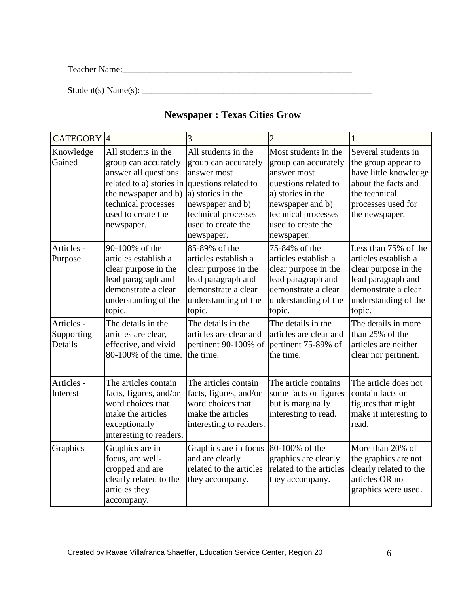Teacher Name:\_\_\_\_\_\_\_\_\_\_\_\_\_\_\_\_\_\_\_\_\_\_\_\_\_\_\_\_\_\_\_\_\_\_\_\_\_\_\_\_\_\_\_\_\_\_\_\_\_\_\_

 $Student(s) Name(s):$ 

# **Newspaper : Texas Cities Grow**

| <b>CATEGORY</b> 4                   |                                                                                                                                                                                    | 3                                                                                                                                                                                      | 2                                                                                                                                                                                       | 1                                                                                                                                                   |
|-------------------------------------|------------------------------------------------------------------------------------------------------------------------------------------------------------------------------------|----------------------------------------------------------------------------------------------------------------------------------------------------------------------------------------|-----------------------------------------------------------------------------------------------------------------------------------------------------------------------------------------|-----------------------------------------------------------------------------------------------------------------------------------------------------|
| Knowledge<br>Gained                 | All students in the<br>group can accurately<br>answer all questions<br>related to a) stories in<br>the newspaper and b)<br>technical processes<br>used to create the<br>newspaper. | All students in the<br>group can accurately<br>answer most<br>questions related to<br>a) stories in the<br>newspaper and b)<br>technical processes<br>used to create the<br>newspaper. | Most students in the<br>group can accurately<br>answer most<br>questions related to<br>a) stories in the<br>newspaper and b)<br>technical processes<br>used to create the<br>newspaper. | Several students in<br>the group appear to<br>have little knowledge<br>about the facts and<br>the technical<br>processes used for<br>the newspaper. |
| Articles -<br>Purpose               | 90-100% of the<br>articles establish a<br>clear purpose in the<br>lead paragraph and<br>demonstrate a clear<br>understanding of the<br>topic.                                      | 85-89% of the<br>articles establish a<br>clear purpose in the<br>lead paragraph and<br>demonstrate a clear<br>understanding of the<br>topic.                                           | 75-84% of the<br>articles establish a<br>clear purpose in the<br>lead paragraph and<br>demonstrate a clear<br>understanding of the<br>topic.                                            | Less than 75% of the<br>articles establish a<br>clear purpose in the<br>lead paragraph and<br>demonstrate a clear<br>understanding of the<br>topic. |
| Articles -<br>Supporting<br>Details | The details in the<br>articles are clear,<br>effective, and vivid<br>80-100% of the time.                                                                                          | The details in the<br>articles are clear and<br>pertinent 90-100% of<br>the time.                                                                                                      | The details in the<br>articles are clear and<br>pertinent 75-89% of<br>the time.                                                                                                        | The details in more<br>than 25% of the<br>articles are neither<br>clear nor pertinent.                                                              |
| Articles -<br>Interest              | The articles contain<br>facts, figures, and/or<br>word choices that<br>make the articles<br>exceptionally<br>interesting to readers.                                               | The articles contain<br>facts, figures, and/or<br>word choices that<br>make the articles<br>interesting to readers.                                                                    | The article contains<br>some facts or figures<br>but is marginally<br>interesting to read.                                                                                              | The article does not<br>contain facts or<br>figures that might<br>make it interesting to<br>read.                                                   |
| Graphics                            | Graphics are in<br>focus, are well-<br>cropped and are<br>clearly related to the<br>articles they<br>accompany.                                                                    | Graphics are in focus<br>and are clearly<br>related to the articles<br>they accompany.                                                                                                 | 80-100% of the<br>graphics are clearly<br>related to the articles<br>they accompany.                                                                                                    | More than 20% of<br>the graphics are not<br>clearly related to the<br>articles OR no<br>graphics were used.                                         |